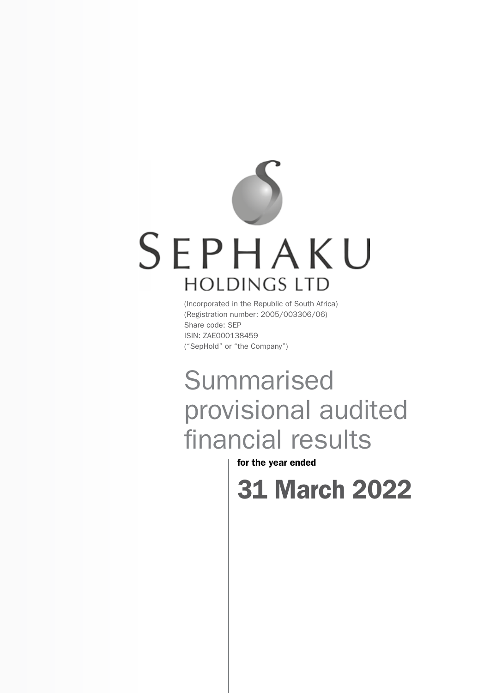# SEPHAKU **HOLDINGS LTD**

(Incorporated in the Republic of South Africa) (Registration number: 2005/003306/06) Share code: SEP ISIN: ZAE000138459 ("SepHold" or "the Company")

## **Summarised** provisional audited financial results

for the year ended

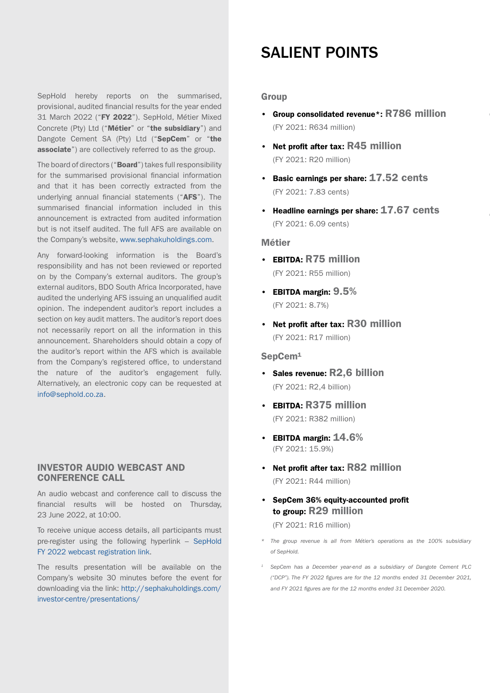SepHold hereby reports on the summarised, provisional, audited financial results for the year ended 31 March 2022 ("FY 2022"). SepHold, Métier Mixed Concrete (Pty) Ltd ("Métier" or "the subsidiary") and Dangote Cement SA (Pty) Ltd ("SepCem" or "the associate") are collectively referred to as the group.

The board of directors ("Board") takes full responsibility for the summarised provisional financial information and that it has been correctly extracted from the underlying annual financial statements ("AFS"). The summarised financial information included in this announcement is extracted from audited information but is not itself audited. The full AFS are available on the Company's website, [www.sephakuholdings.com](http://www.sephakuholdings.com).

Any forward-looking information is the Board's responsibility and has not been reviewed or reported on by the Company's external auditors. The group's external auditors, BDO South Africa Incorporated, have audited the underlying AFS issuing an unqualified audit opinion. The independent auditor's report includes a section on key audit matters. The auditor's report does not necessarily report on all the information in this announcement. Shareholders should obtain a copy of the auditor's report within the AFS which is available from the Company's registered office, to understand the nature of the auditor's engagement fully. Alternatively, an electronic copy can be requested at [info@sephold.co.za.](mailto:info@sephold.co.za)

### INVESTOR AUDIO WEBCAST AND CONFERENCE CALL

An audio webcast and conference call to discuss the financial results will be hosted on Thursday, 23 June 2022, at 10:00.

To receive unique access details, all participants must pre-register using the following hyperlink – [SepHold](https://themediaframe.com/links/sephaku10042498.html) [FY 2022 webcast registration link.](https://themediaframe.com/links/sephaku10042498.html)

The results presentation will be available on the Company's website 30 minutes before the event for downloading via the link: [http://sephakuholdings.com/](http://sephakuholdings.com/investor-centre/presentations/) [investor-centre/presentations/](http://sephakuholdings.com/investor-centre/presentations/)

### SALIENT POINTS

### **Group**

- Group consolidated revenue\*: R786 million (FY 2021: R634 million)
- Net profit after tax: R45 million (FY 2021: R20 million)
- Basic earnings per share: 17.52 cents (FY 2021: 7.83 cents)
- Headline earnings per share: 17.67 cents (FY 2021: 6.09 cents)

### Métier

- EBITDA: R75 million (FY 2021: R55 million)
- EBITDA margin:  $9.5\%$ (FY 2021: 8.7%)
- Net profit after tax: R30 million (FY 2021: R17 million)

### SepCem<sup>1</sup>

- Sales revenue: R2,6 billion (FY 2021: R2,4 billion)
- EBITDA: R375 million (FY 2021: R382 million)
- EBITDA margin:  $14.6\%$ (FY 2021: 15.9%)
- Net profit after tax: R82 million (FY 2021: R44 million)
- SepCem 36% equity-accounted profit to group: R29 million

(FY 2021: R16 million)

- *\* The group revenue is all from Métier's operations as the 100% subsidiary of SepHold.*
- *<sup>1</sup> SepCem has a December year-end as a subsidiary of Dangote Cement PLC ("DCP"). The FY 2022 figures are for the 12 months ended 31 December 2021, and FY 2021 figures are for the 12 months ended 31 December 2020.*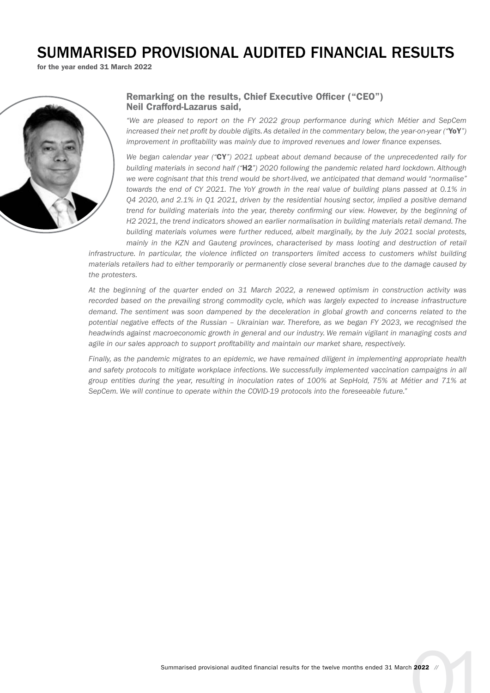### SUMMARISED PROVISIONAL AUDITED FINANCIAL RESULTS

for the year ended 31 March 2022



### Remarking on the results, Chief Executive Officer ("CEO") Neil Crafford-Lazarus said,

*"We are pleased to report on the FY 2022 group performance during which Métier and SepCem increased their net profit by double digits. As detailed in the commentary below, the year-on-year ("*YoY*") improvement in profitability was mainly due to improved revenues and lower finance expenses.* 

*We began calendar year ("*CY*") 2021 upbeat about demand because of the unprecedented rally for building materials in second half ("*H2*") 2020 following the pandemic related hard lockdown. Although we were cognisant that this trend would be short-lived, we anticipated that demand would "normalise" towards the end of CY 2021. The YoY growth in the real value of building plans passed at 0.1% in Q4 2020, and 2.1% in Q1 2021, driven by the residential housing sector, implied a positive demand trend for building materials into the year, thereby confirming our view. However, by the beginning of H2 2021, the trend indicators showed an earlier normalisation in building materials retail demand. The building materials volumes were further reduced, albeit marginally, by the July 2021 social protests, mainly in the KZN and Gauteng provinces, characterised by mass looting and destruction of retail* 

*infrastructure. In particular, the violence inflicted on transporters limited access to customers whilst building materials retailers had to either temporarily or permanently close several branches due to the damage caused by the protesters.* 

*At the beginning of the quarter ended on 31 March 2022, a renewed optimism in construction activity was recorded based on the prevailing strong commodity cycle, which was largely expected to increase infrastructure demand. The sentiment was soon dampened by the deceleration in global growth and concerns related to the potential negative effects of the Russian – Ukrainian war. Therefore, as we began FY 2023, we recognised the headwinds against macroeconomic growth in general and our industry. We remain vigilant in managing costs and agile in our sales approach to support profitability and maintain our market share, respectively.* 

*Finally, as the pandemic migrates to an epidemic, we have remained diligent in implementing appropriate health*  and safety protocols to mitigate workplace infections. We successfully implemented vaccination campaigns in all *group entities during the year, resulting in inoculation rates of 100% at SepHold, 75% at Métier and 71% at SepCem. We will continue to operate within the COVID-19 protocols into the foreseeable future."*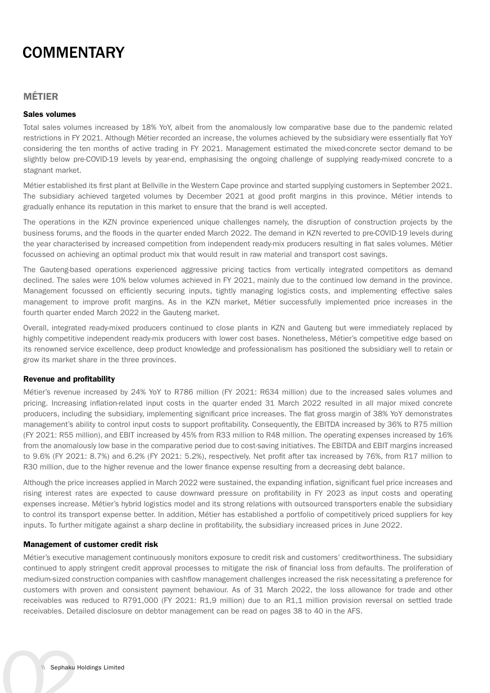### **COMMENTARY**

### MÉTIER

### Sales volumes

Total sales volumes increased by 18% YoY, albeit from the anomalously low comparative base due to the pandemic related restrictions in FY 2021. Although Métier recorded an increase, the volumes achieved by the subsidiary were essentially flat YoY considering the ten months of active trading in FY 2021. Management estimated the mixed-concrete sector demand to be slightly below pre-COVID-19 levels by year-end, emphasising the ongoing challenge of supplying ready-mixed concrete to a stagnant market.

Métier established its first plant at Bellville in the Western Cape province and started supplying customers in September 2021. The subsidiary achieved targeted volumes by December 2021 at good profit margins in this province. Métier intends to gradually enhance its reputation in this market to ensure that the brand is well accepted.

The operations in the KZN province experienced unique challenges namely, the disruption of construction projects by the business forums, and the floods in the quarter ended March 2022. The demand in KZN reverted to pre-COVID-19 levels during the year characterised by increased competition from independent ready-mix producers resulting in flat sales volumes. Métier focussed on achieving an optimal product mix that would result in raw material and transport cost savings.

The Gauteng-based operations experienced aggressive pricing tactics from vertically integrated competitors as demand declined. The sales were 10% below volumes achieved in FY 2021, mainly due to the continued low demand in the province. Management focussed on efficiently securing inputs, tightly managing logistics costs, and implementing effective sales management to improve profit margins. As in the KZN market, Métier successfully implemented price increases in the fourth quarter ended March 2022 in the Gauteng market.

Overall, integrated ready-mixed producers continued to close plants in KZN and Gauteng but were immediately replaced by highly competitive independent ready-mix producers with lower cost bases. Nonetheless, Métier's competitive edge based on its renowned service excellence, deep product knowledge and professionalism has positioned the subsidiary well to retain or grow its market share in the three provinces.

### Revenue and profitability

Métier's revenue increased by 24% YoY to R786 million (FY 2021: R634 million) due to the increased sales volumes and pricing. Increasing inflation-related input costs in the quarter ended 31 March 2022 resulted in all major mixed concrete producers, including the subsidiary, implementing significant price increases. The flat gross margin of 38% YoY demonstrates management's ability to control input costs to support profitability. Consequently, the EBITDA increased by 36% to R75 million (FY 2021: R55 million), and EBIT increased by 45% from R33 million to R48 million. The operating expenses increased by 16% from the anomalously low base in the comparative period due to cost-saving initiatives. The EBITDA and EBIT margins increased to 9.6% (FY 2021: 8.7%) and 6.2% (FY 2021: 5.2%), respectively. Net profit after tax increased by 76%, from R17 million to R30 million, due to the higher revenue and the lower finance expense resulting from a decreasing debt balance.

Although the price increases applied in March 2022 were sustained, the expanding inflation, significant fuel price increases and rising interest rates are expected to cause downward pressure on profitability in FY 2023 as input costs and operating expenses increase. Métier's hybrid logistics model and its strong relations with outsourced transporters enable the subsidiary to control its transport expense better. In addition, Métier has established a portfolio of competitively priced suppliers for key inputs. To further mitigate against a sharp decline in profitability, the subsidiary increased prices in June 2022.

### Management of customer credit risk

Métier's executive management continuously monitors exposure to credit risk and customers' creditworthiness. The subsidiary continued to apply stringent credit approval processes to mitigate the risk of financial loss from defaults. The proliferation of medium-sized construction companies with cashflow management challenges increased the risk necessitating a preference for customers with proven and consistent payment behaviour. As of 31 March 2022, the loss allowance for trade and other receivables was reduced to R791,000 (FY 2021: R1,9 million) due to an R1,1 million provision reversal on settled trade receivables. Detailed disclosure on debtor management can be read on pages 38 to 40 in the AFS.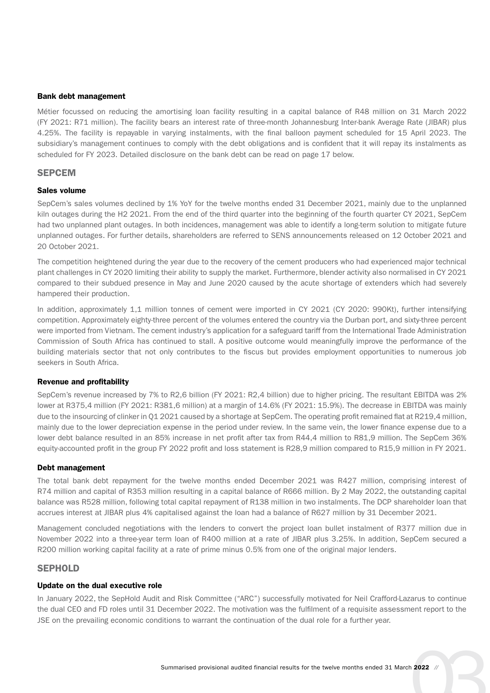#### Bank debt management

Métier focussed on reducing the amortising loan facility resulting in a capital balance of R48 million on 31 March 2022 (FY 2021: R71 million). The facility bears an interest rate of three-month Johannesburg Inter-bank Average Rate (JIBAR) plus 4.25%. The facility is repayable in varying instalments, with the final balloon payment scheduled for 15 April 2023. The subsidiary's management continues to comply with the debt obligations and is confident that it will repay its instalments as scheduled for FY 2023. Detailed disclosure on the bank debt can be read on page 17 below.

### **SEPCEM**

#### Sales volume

SepCem's sales volumes declined by 1% YoY for the twelve months ended 31 December 2021, mainly due to the unplanned kiln outages during the H2 2021. From the end of the third quarter into the beginning of the fourth quarter CY 2021, SepCem had two unplanned plant outages. In both incidences, management was able to identify a long-term solution to mitigate future unplanned outages. For further details, shareholders are referred to SENS announcements released on 12 October 2021 and 20 October 2021.

The competition heightened during the year due to the recovery of the cement producers who had experienced major technical plant challenges in CY 2020 limiting their ability to supply the market. Furthermore, blender activity also normalised in CY 2021 compared to their subdued presence in May and June 2020 caused by the acute shortage of extenders which had severely hampered their production.

In addition, approximately 1,1 million tonnes of cement were imported in CY 2021 (CY 2020: 990Kt), further intensifying competition. Approximately eighty-three percent of the volumes entered the country via the Durban port, and sixty-three percent were imported from Vietnam. The cement industry's application for a safeguard tariff from the International Trade Administration Commission of South Africa has continued to stall. A positive outcome would meaningfully improve the performance of the building materials sector that not only contributes to the fiscus but provides employment opportunities to numerous job seekers in South Africa.

#### Revenue and profitability

SepCem's revenue increased by 7% to R2,6 billion (FY 2021: R2,4 billion) due to higher pricing. The resultant EBITDA was 2% lower at R375,4 million (FY 2021: R381,6 million) at a margin of 14.6% (FY 2021: 15.9%). The decrease in EBITDA was mainly due to the insourcing of clinker in Q1 2021 caused by a shortage at SepCem. The operating profit remained flat at R219,4 million, mainly due to the lower depreciation expense in the period under review. In the same vein, the lower finance expense due to a lower debt balance resulted in an 85% increase in net profit after tax from R44,4 million to R81,9 million. The SepCem 36% equity-accounted profit in the group FY 2022 profit and loss statement is R28,9 million compared to R15,9 million in FY 2021.

#### Debt management

The total bank debt repayment for the twelve months ended December 2021 was R427 million, comprising interest of R74 million and capital of R353 million resulting in a capital balance of R666 million. By 2 May 2022, the outstanding capital balance was R528 million, following total capital repayment of R138 million in two instalments. The DCP shareholder loan that accrues interest at JIBAR plus 4% capitalised against the loan had a balance of R627 million by 31 December 2021.

Management concluded negotiations with the lenders to convert the project loan bullet instalment of R377 million due in November 2022 into a three-year term loan of R400 million at a rate of JIBAR plus 3.25%. In addition, SepCem secured a R200 million working capital facility at a rate of prime minus 0.5% from one of the original major lenders.

### **SEPHOLD**

### Update on the dual executive role

In January 2022, the SepHold Audit and Risk Committee ("ARC") successfully motivated for Neil Crafford-Lazarus to continue the dual CEO and FD roles until 31 December 2022. The motivation was the fulfilment of a requisite assessment report to the JSE on the prevailing economic conditions to warrant the continuation of the dual role for a further year.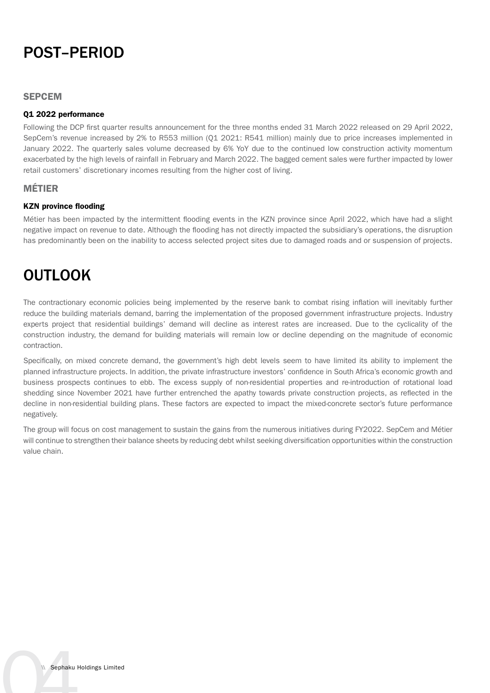### POST–PERIOD

### **SEPCEM**

### Q1 2022 performance

Following the DCP first quarter results announcement for the three months ended 31 March 2022 released on 29 April 2022, SepCem's revenue increased by 2% to R553 million (Q1 2021: R541 million) mainly due to price increases implemented in January 2022. The quarterly sales volume decreased by 6% YoY due to the continued low construction activity momentum exacerbated by the high levels of rainfall in February and March 2022. The bagged cement sales were further impacted by lower retail customers' discretionary incomes resulting from the higher cost of living.

### MÉTIER

### KZN province flooding

Métier has been impacted by the intermittent flooding events in the KZN province since April 2022, which have had a slight negative impact on revenue to date. Although the flooding has not directly impacted the subsidiary's operations, the disruption has predominantly been on the inability to access selected project sites due to damaged roads and or suspension of projects.

### OUTLOOK

The contractionary economic policies being implemented by the reserve bank to combat rising inflation will inevitably further reduce the building materials demand, barring the implementation of the proposed government infrastructure projects. Industry experts project that residential buildings' demand will decline as interest rates are increased. Due to the cyclicality of the construction industry, the demand for building materials will remain low or decline depending on the magnitude of economic contraction.

Specifically, on mixed concrete demand, the government's high debt levels seem to have limited its ability to implement the planned infrastructure projects. In addition, the private infrastructure investors' confidence in South Africa's economic growth and business prospects continues to ebb. The excess supply of non-residential properties and re-introduction of rotational load shedding since November 2021 have further entrenched the apathy towards private construction projects, as reflected in the decline in non-residential building plans. These factors are expected to impact the mixed-concrete sector's future performance negatively.

The group will focus on cost management to sustain the gains from the numerous initiatives during FY2022. SepCem and Métier will continue to strengthen their balance sheets by reducing debt whilst seeking diversification opportunities within the construction value chain.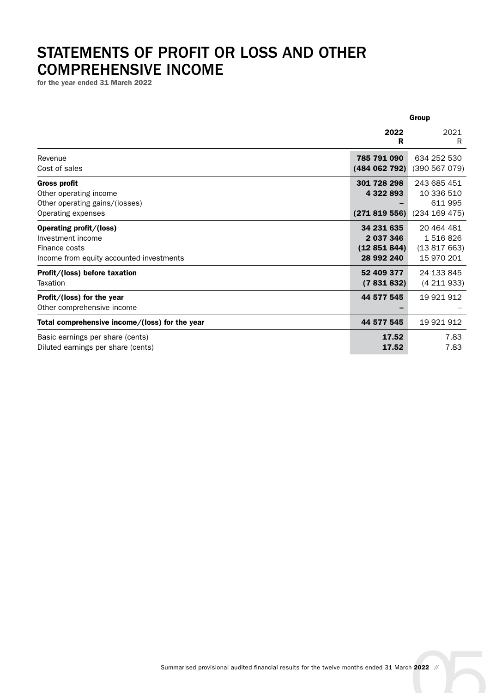### STATEMENTS OF PROFIT OR LOSS AND OTHER COMPREHENSIVE INCOME

for the year ended 31 March 2022

|                                                                                                           | Group                                               |                                                       |
|-----------------------------------------------------------------------------------------------------------|-----------------------------------------------------|-------------------------------------------------------|
|                                                                                                           | 2022<br>R                                           | 2021<br>R                                             |
| Revenue<br>Cost of sales                                                                                  | 785 791 090<br>(484 062 792)                        | 634 252 530<br>(390 567 079)                          |
| <b>Gross profit</b><br>Other operating income<br>Other operating gains/(losses)<br>Operating expenses     | 301 728 298<br>4 322 893<br>(271819556)             | 243 685 451<br>10 336 510<br>611 995<br>(234 169 475) |
| Operating profit/(loss)<br>Investment income<br>Finance costs<br>Income from equity accounted investments | 34 231 635<br>2 037 346<br>(12851844)<br>28 992 240 | 20 464 481<br>1 516 826<br>(13817663)<br>15 970 201   |
| Profit/(loss) before taxation<br>Taxation                                                                 | 52 409 377<br>(7831832)                             | 24 133 845<br>(4211933)                               |
| Profit/(loss) for the year<br>Other comprehensive income                                                  | 44 577 545                                          | 19 921 912                                            |
| Total comprehensive income/(loss) for the year                                                            | 44 577 545                                          | 19 921 912                                            |
| Basic earnings per share (cents)<br>Diluted earnings per share (cents)                                    | 17.52<br>17.52                                      | 7.83<br>7.83                                          |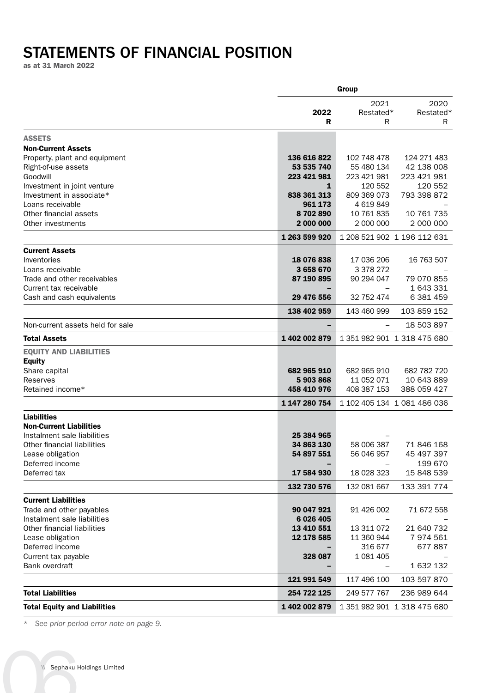### STATEMENTS OF FINANCIAL POSITION

as at 31 March 2022

|                                                            | Group                    |                          |                             |
|------------------------------------------------------------|--------------------------|--------------------------|-----------------------------|
|                                                            | 2022<br>R                | 2021<br>Restated*<br>R   | 2020<br>Restated*<br>R      |
| <b>ASSETS</b>                                              |                          |                          |                             |
| <b>Non-Current Assets</b>                                  |                          |                          |                             |
| Property, plant and equipment                              | 136 616 822              | 102 748 478              | 124 271 483                 |
| Right-of-use assets                                        | 53 535 740               | 55 480 134               | 42 138 008                  |
| Goodwill                                                   | 223 421 981              | 223 421 981              | 223 421 981                 |
| Investment in joint venture                                | 1                        | 120 552                  | 120 552                     |
| Investment in associate*<br>Loans receivable               | 838 361 313<br>961 173   | 809 369 073<br>4 619 849 | 793 398 872                 |
| Other financial assets                                     | 8702890                  | 10 761 835               | 10 761 735                  |
| Other investments                                          | 2 000 000                | 2 000 000                | 2 000 000                   |
|                                                            | 1 263 599 920            |                          | 1 208 521 902 1 196 112 631 |
| <b>Current Assets</b>                                      |                          |                          |                             |
| Inventories                                                | 18 076 838               | 17 036 206               | 16 763 507                  |
| Loans receivable                                           | 3658670                  | 3 378 272                |                             |
| Trade and other receivables<br>Current tax receivable      | 87 190 895               | 90 294 047               | 79 070 855<br>1 643 331     |
| Cash and cash equivalents                                  | 29 476 556               | 32 752 474               | 6 381 459                   |
|                                                            | 138 402 959              | 143 460 999              | 103 859 152                 |
| Non-current assets held for sale                           |                          |                          | 18 503 897                  |
| <b>Total Assets</b>                                        | 1402002879               |                          | 1 351 982 901 1 318 475 680 |
| <b>EQUITY AND LIABILITIES</b>                              |                          |                          |                             |
| <b>Equity</b><br>Share capital                             | 682 965 910              | 682 965 910              | 682 782 720                 |
| Reserves                                                   | 5903868                  | 11 052 071               | 10 643 889                  |
| Retained income*                                           | 458 410 976              | 408 387 153              | 388 059 427                 |
|                                                            | 1 147 280 754            |                          | 1 102 405 134 1 081 486 036 |
| <b>Liabilities</b>                                         |                          |                          |                             |
| <b>Non-Current Liabilities</b>                             |                          |                          |                             |
| Instalment sale liabilities<br>Other financial liabilities | 25 384 965<br>34 863 130 | 58 006 387               | 71 846 168                  |
| Lease obligation                                           | 54 897 551               | 56 046 957               | 45 497 397                  |
| Deferred income                                            |                          |                          | 199 670                     |
| Deferred tax                                               | 17 584 930               | 18 028 323               | 15 848 539                  |
|                                                            | 132 730 576              | 132 081 667              | 133 391 774                 |
| <b>Current Liabilities</b>                                 |                          |                          |                             |
| Trade and other payables                                   | 90 047 921               | 91 426 002               | 71 672 558                  |
| Instalment sale liabilities                                | 6 0 26 4 05              |                          |                             |
| Other financial liabilities<br>Lease obligation            | 13 410 551<br>12 178 585 | 13 311 072<br>11 360 944 | 21 640 732<br>7974561       |
| Deferred income                                            |                          | 316 677                  | 677887                      |
| Current tax payable                                        | 328 087                  | 1 081 405                |                             |
| Bank overdraft                                             |                          | $\overline{\phantom{0}}$ | 1 632 132                   |
|                                                            | 121 991 549              | 117 496 100              | 103 597 870                 |
| <b>Total Liabilities</b>                                   | 254 722 125              | 249 577 767              | 236 989 644                 |
| <b>Total Equity and Liabilities</b>                        | 1 402 002 879            |                          | 1 351 982 901 1 318 475 680 |

*\* See prior period error note on page 9.*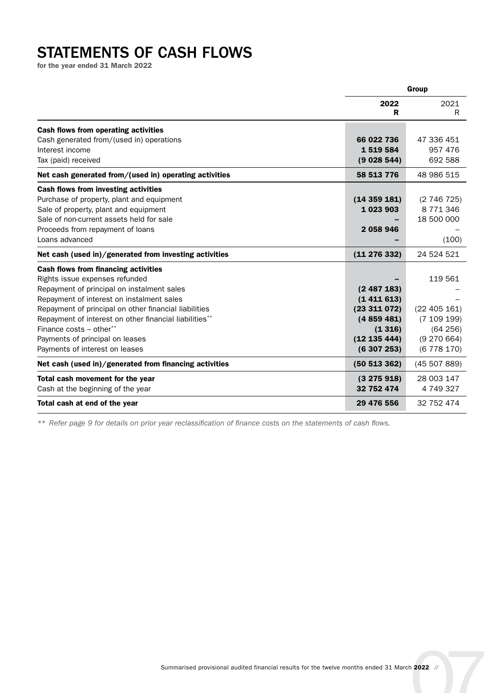### STATEMENTS OF CASH FLOWS

for the year ended 31 March 2022

|                                                        | Group        |               |
|--------------------------------------------------------|--------------|---------------|
|                                                        | 2022<br>R    | 2021<br>R     |
| <b>Cash flows from operating activities</b>            |              |               |
| Cash generated from/(used in) operations               | 66 022 736   | 47 336 451    |
| Interest income                                        | 1519584      | 957 476       |
| Tax (paid) received                                    | (9028544)    | 692 588       |
| Net cash generated from/(used in) operating activities | 58 513 776   | 48 986 515    |
| <b>Cash flows from investing activities</b>            |              |               |
| Purchase of property, plant and equipment              | (14359181)   | (2746725)     |
| Sale of property, plant and equipment                  | 1 023 903    | 8 7 7 1 3 4 6 |
| Sale of non-current assets held for sale               |              | 18 500 000    |
| Proceeds from repayment of loans                       | 2 058 946    |               |
| Loans advanced                                         |              | (100)         |
| Net cash (used in)/generated from investing activities | (11 276 332) | 24 524 521    |
| <b>Cash flows from financing activities</b>            |              |               |
| Rights issue expenses refunded                         |              | 119 561       |
| Repayment of principal on instalment sales             | (2487183)    |               |
| Repayment of interest on instalment sales              | (1411613)    |               |
| Repayment of principal on other financial liabilities  | (23311072)   | (22405161)    |
| Repayment of interest on other financial liabilities** | (4859481)    | (7 109 199)   |
| Finance costs - other**                                | (1316)       | (64 256)      |
| Payments of principal on leases                        | (12 135 444) | (9 270 664)   |
| Payments of interest on leases                         | (6307253)    | (6778170)     |
| Net cash (used in)/generated from financing activities | (50513362)   | (45 507 889)  |
| Total cash movement for the year                       | (3275918)    | 28 003 147    |
| Cash at the beginning of the year                      | 32 752 474   | 4 749 327     |
| Total cash at end of the year                          | 29 476 556   | 32 752 474    |

*\*\* Refer page 9 for details on prior year reclassification of finance costs on the statements of cash flows.*

Summarised provisional audited financial results for the twelve months ended 31 March 2022 //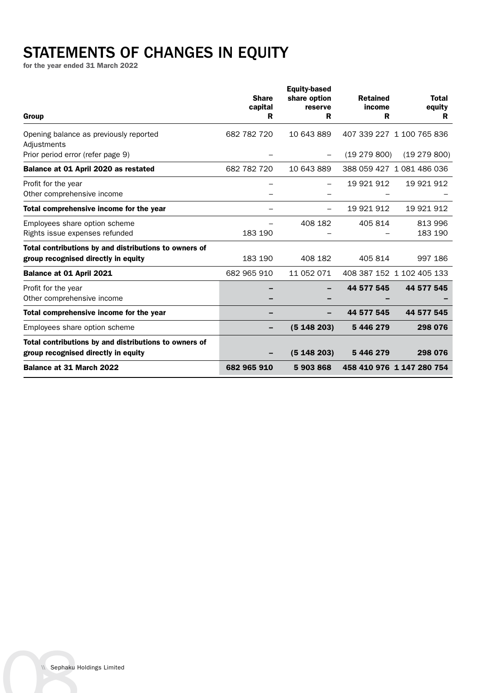### STATEMENTS OF CHANGES IN EQUITY

for the year ended 31 March 2022

| Group                                                                                        | <b>Share</b><br>capital<br>R | <b>Equity-based</b><br>share option<br>reserve<br>R | <b>Retained</b><br>income<br>R | <b>Total</b><br>equity<br>R |
|----------------------------------------------------------------------------------------------|------------------------------|-----------------------------------------------------|--------------------------------|-----------------------------|
| Opening balance as previously reported<br>Adjustments                                        | 682 782 720                  | 10 643 889                                          |                                | 407 339 227 1 100 765 836   |
| Prior period error (refer page 9)                                                            |                              |                                                     | (19279800)                     | (19 279 800)                |
| Balance at 01 April 2020 as restated                                                         | 682 782 720                  | 10 643 889                                          |                                | 388 059 427 1 081 486 036   |
| Profit for the year<br>Other comprehensive income                                            |                              |                                                     | 19 921 912                     | 19 921 912                  |
| Total comprehensive income for the year                                                      |                              |                                                     | 19 921 912                     | 19 921 912                  |
| Employees share option scheme<br>Rights issue expenses refunded                              | 183 190                      | 408 182                                             | 405 814                        | 813 996<br>183 190          |
| Total contributions by and distributions to owners of<br>group recognised directly in equity | 183 190                      | 408 182                                             | 405 814                        | 997 186                     |
| Balance at 01 April 2021                                                                     | 682 965 910                  | 11 052 071                                          |                                | 408 387 152 1 102 405 133   |
| Profit for the year<br>Other comprehensive income                                            |                              |                                                     | 44 577 545                     | 44 577 545                  |
| Total comprehensive income for the year                                                      |                              |                                                     | 44 577 545                     | 44 577 545                  |
| Employees share option scheme                                                                |                              | (5148203)                                           | 5 446 279                      | 298 076                     |
| Total contributions by and distributions to owners of<br>group recognised directly in equity |                              | (5148203)                                           | 5 446 279                      | 298 076                     |
| <b>Balance at 31 March 2022</b>                                                              | 682 965 910                  | 5903868                                             |                                | 458 410 976 1 147 280 754   |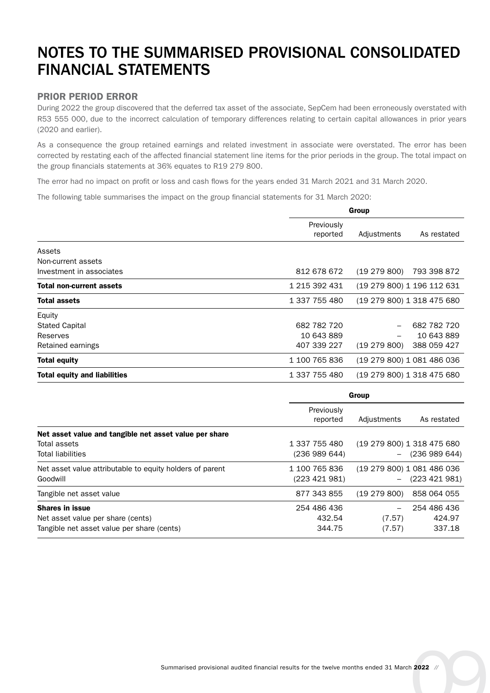### NOTES TO THE SUMMARISED PROVISIONAL CONSOLIDATED FINANCIAL STATEMENTS

### PRIOR PERIOD ERROR

During 2022 the group discovered that the deferred tax asset of the associate, SepCem had been erroneously overstated with R53 555 000, due to the incorrect calculation of temporary differences relating to certain capital allowances in prior years (2020 and earlier).

As a consequence the group retained earnings and related investment in associate were overstated. The error has been corrected by restating each of the affected financial statement line items for the prior periods in the group. The total impact on the group financials statements at 36% equates to R19 279 800.

The error had no impact on profit or loss and cash flows for the years ended 31 March 2021 and 31 March 2020.

The following table summarises the impact on the group financial statements for 31 March 2020:

|                                     | Group                  |                            |                            |
|-------------------------------------|------------------------|----------------------------|----------------------------|
|                                     | Previously<br>reported | Adjustments                | As restated                |
| Assets                              |                        |                            |                            |
| Non-current assets                  |                        |                            |                            |
| Investment in associates            | 812 678 672            | (19279800)                 | 793 398 872                |
| <b>Total non-current assets</b>     | 1 215 392 431          | (19 279 800) 1 196 112 631 |                            |
| <b>Total assets</b>                 | 1 337 755 480          |                            | (19 279 800) 1 318 475 680 |
| Equity                              |                        |                            |                            |
| <b>Stated Capital</b>               | 682 782 720            |                            | 682 782 720                |
| Reserves                            | 10 643 889             |                            | 10 643 889                 |
| Retained earnings                   | 407 339 227            | (19 279 800)               | 388 059 427                |
| <b>Total equity</b>                 | 1 100 765 836          |                            | (19 279 800) 1 081 486 036 |
| <b>Total equity and liabilities</b> | 1 337 755 480          |                            | (19 279 800) 1 318 475 680 |

|                                                          | Group                  |                          |                            |
|----------------------------------------------------------|------------------------|--------------------------|----------------------------|
|                                                          | Previously<br>reported | Adjustments              | As restated                |
| Net asset value and tangible net asset value per share   |                        |                          |                            |
| Total assets                                             | 1 337 755 480          |                          | (19 279 800) 1 318 475 680 |
| <b>Total liabilities</b>                                 | (236 989 644)          | $\overline{\phantom{0}}$ | (236 989 644)              |
| Net asset value attributable to equity holders of parent | 1 100 765 836          |                          | (19 279 800) 1 081 486 036 |
| Goodwill                                                 | (223 421 981)          | $\overline{\phantom{0}}$ | (223 421 981)              |
| Tangible net asset value                                 | 877 343 855            | (19279800)               | 858 064 055                |
| <b>Shares in issue</b>                                   | 254 486 436            |                          | 254 486 436                |
| Net asset value per share (cents)                        | 432.54                 | (7.57)                   | 424.97                     |
| Tangible net asset value per share (cents)               | 344.75                 | (7.57)                   | 337.18                     |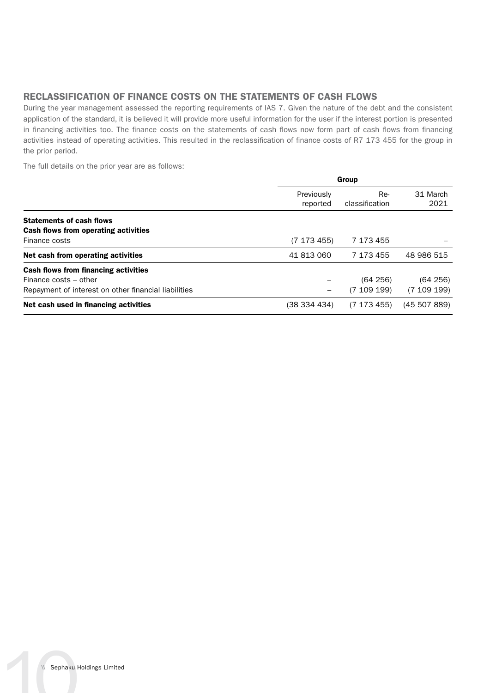### RECLASSIFICATION OF FINANCE COSTS ON THE STATEMENTS OF CASH FLOWS

During the year management assessed the reporting requirements of IAS 7. Given the nature of the debt and the consistent application of the standard, it is believed it will provide more useful information for the user if the interest portion is presented in financing activities too. The finance costs on the statements of cash flows now form part of cash flows from financing activities instead of operating activities. This resulted in the reclassification of finance costs of R7 173 455 for the group in the prior period.

The full details on the prior year are as follows:

|                                                      | Group                  |                       |                  |
|------------------------------------------------------|------------------------|-----------------------|------------------|
|                                                      | Previously<br>reported | Re-<br>classification | 31 March<br>2021 |
| <b>Statements of cash flows</b>                      |                        |                       |                  |
| <b>Cash flows from operating activities</b>          |                        |                       |                  |
| Finance costs                                        | (7173455)              | 7 173 455             |                  |
| Net cash from operating activities                   | 41 813 060             | 7 173 455             | 48 986 515       |
| <b>Cash flows from financing activities</b>          |                        |                       |                  |
| Finance costs - other                                |                        | (64 256)              | (64 256)         |
| Repayment of interest on other financial liabilities |                        | (7109199)             | (7109199)        |
| Net cash used in financing activities                | (38 334 434)           | (7173455)             | (45507889)       |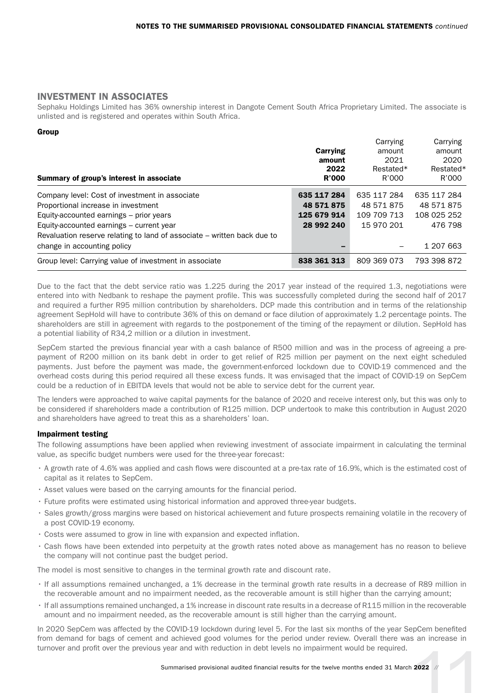### INVESTMENT IN ASSOCIATES

Sephaku Holdings Limited has 36% ownership interest in Dangote Cement South Africa Proprietary Limited. The associate is unlisted and is registered and operates within South Africa.

#### Group

|                                                                         |              | Carrying    | Carrying    |
|-------------------------------------------------------------------------|--------------|-------------|-------------|
|                                                                         | Carrying     | amount      | amount      |
|                                                                         | amount       | 2021        | 2020        |
|                                                                         | 2022         | Restated*   | Restated*   |
| Summary of group's interest in associate                                | <b>R'000</b> | R'000       | R'000       |
| Company level: Cost of investment in associate                          | 635 117 284  | 635 117 284 | 635 117 284 |
| Proportional increase in investment                                     | 48 571 875   | 48 571 875  | 48 571 875  |
| Equity-accounted earnings – prior years                                 | 125 679 914  | 109 709 713 | 108 025 252 |
| Equity-accounted earnings – current year                                | 28 992 240   | 15 970 201  | 476 798     |
| Revaluation reserve relating to land of associate - written back due to |              |             |             |
| change in accounting policy                                             |              |             | 1 207 663   |
| Group level: Carrying value of investment in associate                  | 838 361 313  | 809 369 073 | 793 398 872 |

Due to the fact that the debt service ratio was 1.225 during the 2017 year instead of the required 1.3, negotiations were entered into with Nedbank to reshape the payment profile. This was successfully completed during the second half of 2017 and required a further R95 million contribution by shareholders. DCP made this contribution and in terms of the relationship agreement SepHold will have to contribute 36% of this on demand or face dilution of approximately 1.2 percentage points. The shareholders are still in agreement with regards to the postponement of the timing of the repayment or dilution. SepHold has a potential liability of R34,2 million or a dilution in investment.

SepCem started the previous financial year with a cash balance of R500 million and was in the process of agreeing a prepayment of R200 million on its bank debt in order to get relief of R25 million per payment on the next eight scheduled payments. Just before the payment was made, the government-enforced lockdown due to COVID-19 commenced and the overhead costs during this period required all these excess funds. It was envisaged that the impact of COVID-19 on SepCem could be a reduction of in EBITDA levels that would not be able to service debt for the current year.

The lenders were approached to waive capital payments for the balance of 2020 and receive interest only, but this was only to be considered if shareholders made a contribution of R125 million. DCP undertook to make this contribution in August 2020 and shareholders have agreed to treat this as a shareholders' loan.

#### Impairment testing

The following assumptions have been applied when reviewing investment of associate impairment in calculating the terminal value, as specific budget numbers were used for the three-year forecast:

- A growth rate of 4.6% was applied and cash flows were discounted at a pre-tax rate of 16.9%, which is the estimated cost of capital as it relates to SepCem.
- Asset values were based on the carrying amounts for the financial period.
- Future profits were estimated using historical information and approved three-year budgets.
- Sales growth/gross margins were based on historical achievement and future prospects remaining volatile in the recovery of a post COVID-19 economy.
- Costs were assumed to grow in line with expansion and expected inflation.
- Cash flows have been extended into perpetuity at the growth rates noted above as management has no reason to believe the company will not continue past the budget period.

The model is most sensitive to changes in the terminal growth rate and discount rate.

- If all assumptions remained unchanged, a 1% decrease in the terminal growth rate results in a decrease of R89 million in the recoverable amount and no impairment needed, as the recoverable amount is still higher than the carrying amount;
- If all assumptions remained unchanged, a 1% increase in discount rate results in a decrease of R115 million in the recoverable amount and no impairment needed, as the recoverable amount is still higher than the carrying amount.

11 Summarised provisional audited financial results for the twelve months ended 31 March 2022 **11** In 2020 SepCem was affected by the COVID-19 lockdown during level 5. For the last six months of the year SepCem benefited from demand for bags of cement and achieved good volumes for the period under review. Overall there was an increase in turnover and profit over the previous year and with reduction in debt levels no impairment would be required.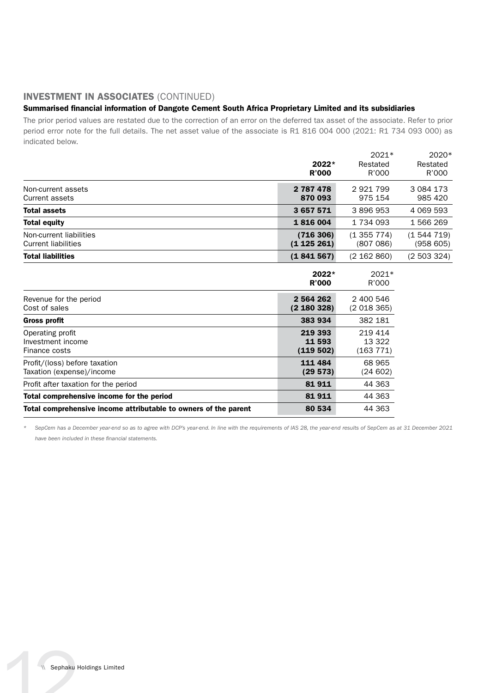### INVESTMENT IN ASSOCIATES (CONTINUED)

### Summarised financial information of Dangote Cement South Africa Proprietary Limited and its subsidiaries

The prior period values are restated due to the correction of an error on the deferred tax asset of the associate. Refer to prior period error note for the full details. The net asset value of the associate is R1 816 004 000 (2021: R1 734 093 000) as indicated below.

|                                                | $2022*$<br><b>R'000</b> | $2021*$<br>Restated<br>R'000 | 2020*<br>Restated<br>R'000 |
|------------------------------------------------|-------------------------|------------------------------|----------------------------|
| Non-current assets<br>Current assets           | 2 787 478<br>870 093    | 2921799<br>975 154           | 3 0 8 4 1 7 3<br>985 420   |
| <b>Total assets</b>                            | 3 657 571               | 3896953                      | 4 069 593                  |
| <b>Total equity</b>                            | 1816004                 | 1 734 093                    | 1 566 269                  |
| Non-current liabilities<br>Current liabilities | (716306)<br>(1125261)   | (1355774)<br>(807086)        | (1544719)<br>(958605)      |
| <b>Total liabilities</b>                       | (1841567)               | (2 162 860)                  | (2503324)                  |

|                                                                 | $2022*$<br><b>R'000</b>       | 2021*<br>R'000                 |
|-----------------------------------------------------------------|-------------------------------|--------------------------------|
| Revenue for the period<br>Cost of sales                         | 2 5 64 2 62<br>(2 180 328)    | 2 400 546<br>(2018365)         |
| <b>Gross profit</b>                                             | 383 934                       | 382 181                        |
| Operating profit<br>Investment income<br>Finance costs          | 219 393<br>11 593<br>(119502) | 219 414<br>13 322<br>(163 771) |
| Profit/(loss) before taxation<br>Taxation (expense)/income      | 111 484<br>(29573)            | 68 965<br>(24 602)             |
| Profit after taxation for the period                            | 81911                         | 44 363                         |
| Total comprehensive income for the period                       | 81911                         | 44 363                         |
| Total comprehensive income attributable to owners of the parent | 80 534                        | 44 363                         |

*\* SepCem has a December year-end so as to agree with DCP's year-end. In line with the requirements of IAS 28, the year-end results of SepCem as at 31 December 2021 have been included in these financial statements.*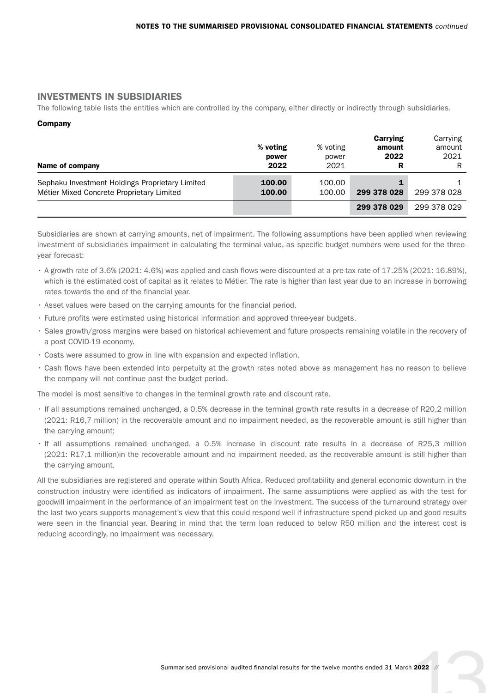### INVESTMENTS IN SUBSIDIARIES

The following table lists the entities which are controlled by the company, either directly or indirectly through subsidiaries.

### Company

| Name of company                                                                              | % voting<br>power<br>2022 | % voting<br>power<br>2021 | Carrying<br>amount<br>2022<br>R | Carrying<br>amount<br>2021<br>R |
|----------------------------------------------------------------------------------------------|---------------------------|---------------------------|---------------------------------|---------------------------------|
| Sephaku Investment Holdings Proprietary Limited<br>Métier Mixed Concrete Proprietary Limited | 100.00<br>100.00          | 100.00<br>100.00          | 299 378 028                     | 299 378 028                     |
|                                                                                              |                           |                           | 299 378 029                     | 299 378 029                     |

Subsidiaries are shown at carrying amounts, net of impairment. The following assumptions have been applied when reviewing investment of subsidiaries impairment in calculating the terminal value, as specific budget numbers were used for the threeyear forecast:

- A growth rate of 3.6% (2021: 4.6%) was applied and cash flows were discounted at a pre-tax rate of 17.25% (2021: 16.89%), which is the estimated cost of capital as it relates to Métier. The rate is higher than last year due to an increase in borrowing rates towards the end of the financial year.
- Asset values were based on the carrying amounts for the financial period.
- Future profits were estimated using historical information and approved three-year budgets.
- Sales growth/gross margins were based on historical achievement and future prospects remaining volatile in the recovery of a post COVID-19 economy.
- Costs were assumed to grow in line with expansion and expected inflation.
- Cash flows have been extended into perpetuity at the growth rates noted above as management has no reason to believe the company will not continue past the budget period.

The model is most sensitive to changes in the terminal growth rate and discount rate.

- If all assumptions remained unchanged, a 0.5% decrease in the terminal growth rate results in a decrease of R20,2 million (2021: R16,7 million) in the recoverable amount and no impairment needed, as the recoverable amount is still higher than the carrying amount;
- If all assumptions remained unchanged, a 0.5% increase in discount rate results in a decrease of R25,3 million (2021: R17,1 million)in the recoverable amount and no impairment needed, as the recoverable amount is still higher than the carrying amount.

All the subsidiaries are registered and operate within South Africa. Reduced profitability and general economic downturn in the construction industry were identified as indicators of impairment. The same assumptions were applied as with the test for goodwill impairment in the performance of an impairment test on the investment. The success of the turnaround strategy over the last two years supports management's view that this could respond well if infrastructure spend picked up and good results were seen in the financial year. Bearing in mind that the term loan reduced to below R50 million and the interest cost is reducing accordingly, no impairment was necessary.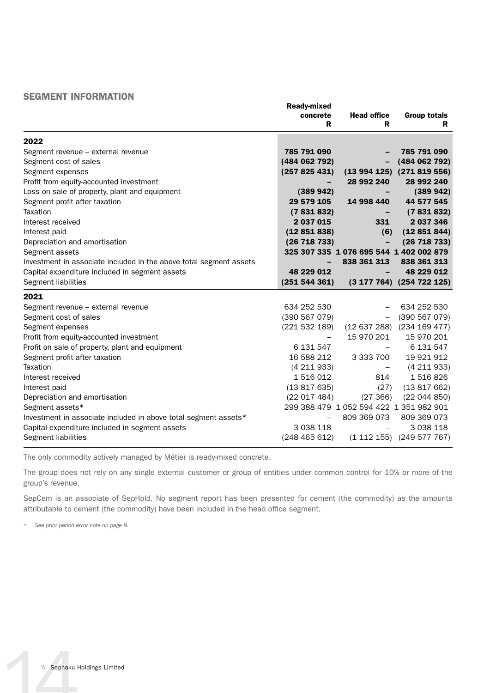### SEGMENT INFORMATION

|                                                                    | <b>Ready-mixed</b>       |                                         |                                   |
|--------------------------------------------------------------------|--------------------------|-----------------------------------------|-----------------------------------|
|                                                                    | concrete                 | <b>Head office</b>                      | <b>Group totals</b>               |
|                                                                    | R                        | R                                       | R.                                |
| 2022                                                               |                          |                                         |                                   |
| Segment revenue - external revenue                                 | 785 791 090              |                                         | 785 791 090                       |
| Segment cost of sales                                              | (484 062 792)            |                                         | (484 062 792)                     |
| Segment expenses                                                   | (257825431)              |                                         | $(13994125)$ $(271819556)$        |
| Profit from equity-accounted investment                            |                          | 28 992 240                              | 28 992 240                        |
| Loss on sale of property, plant and equipment                      | (389942)                 |                                         | (389942)                          |
| Segment profit after taxation                                      | 29 579 105               | 14 998 440                              | 44 577 545                        |
| Taxation                                                           | (7831832)                |                                         | (7831832)                         |
| Interest received                                                  | 2 037 015                | 331                                     | 2 037 346                         |
| Interest paid                                                      | (12851838)               | (6)                                     | (12851844)                        |
| Depreciation and amortisation                                      | (26718733)               | $\overline{\phantom{m}}$                | (26718733)                        |
| Segment assets                                                     |                          | 325 307 335 1 076 695 544 1 402 002 879 |                                   |
| Investment in associate included in the above total segment assets |                          | 838 361 313                             | 838 361 313                       |
| Capital expenditure included in segment assets                     | 48 229 012               |                                         | 48 229 012                        |
| Segment liabilities                                                | (251544361)              |                                         | $(3\ 177\ 764)$ $(254\ 722\ 125)$ |
| 2021                                                               |                          |                                         |                                   |
| Segment revenue - external revenue                                 | 634 252 530              |                                         | 634 252 530                       |
| Segment cost of sales                                              | (390 567 079)            |                                         | (390 567 079)                     |
| Segment expenses                                                   | (221 532 189)            |                                         | (12 637 288) (234 169 477)        |
| Profit from equity-accounted investment                            |                          | 15 970 201                              | 15 970 201                        |
| Profit on sale of property, plant and equipment                    | 6 131 547                |                                         | 6 131 547                         |
| Segment profit after taxation                                      | 16 588 212               | 3 333 700                               | 19 921 912                        |
| Taxation                                                           | (4211933)                | $\overline{\phantom{0}}$                | (4211933)                         |
| Interest received                                                  | 1 516 012                | 814                                     | 1516826                           |
| Interest paid                                                      | (13817635)               | (27)                                    | (13817662)                        |
| Depreciation and amortisation                                      | (22017484)               | (27 366)                                | (22044850)                        |
| Segment assets*                                                    |                          | 299 388 479 1 052 594 422 1 351 982 901 |                                   |
| Investment in associate included in above total segment assets*    | $\overline{\phantom{0}}$ | 809 369 073                             | 809 369 073                       |
| Capital expenditure included in segment assets                     | 3 0 38 1 18              |                                         | 3 0 38 1 18                       |
| Segment liabilities                                                | (248465612)              |                                         | $(1\ 112\ 155)$ $(249\ 577\ 767)$ |

The only commodity actively managed by Métier is ready-mixed concrete.

The group does not rely on any single external customer or group of entities under common control for 10% or more of the group's revenue.

SepCem is an associate of SepHold. No segment report has been presented for cement (the commodity) as the amounts attributable to cement (the commodity) have been included in the head office segment.

*\* See prior period error note on page 9.*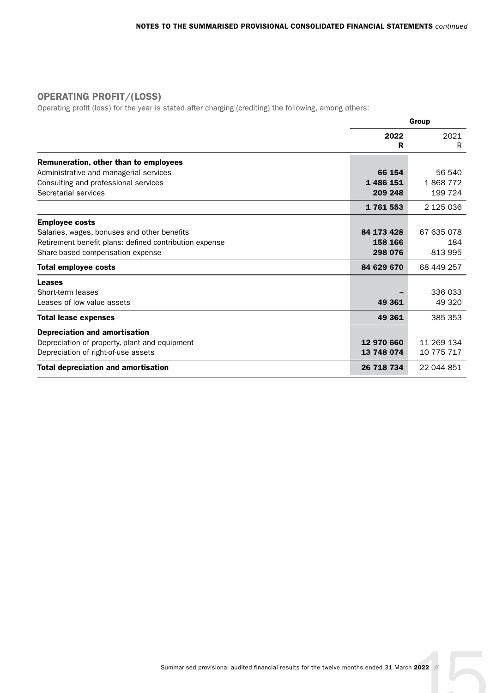### OPERATING PROFIT/(LOSS)

Operating profit (loss) for the year is stated after charging (crediting) the following, among others:

|                                                        | Group      |            |
|--------------------------------------------------------|------------|------------|
|                                                        | 2022<br>R  | 2021<br>R  |
| Remuneration, other than to employees                  |            |            |
| Administrative and managerial services                 | 66 154     | 56 540     |
| Consulting and professional services                   | 1 486 151  | 1868772    |
| Secretarial services                                   | 209 248    | 199 724    |
|                                                        | 1761553    | 2 125 036  |
| <b>Employee costs</b>                                  |            |            |
| Salaries, wages, bonuses and other benefits            | 84 173 428 | 67 635 078 |
| Retirement benefit plans: defined contribution expense | 158 166    | 184        |
| Share-based compensation expense                       | 298 076    | 813 995    |
| <b>Total employee costs</b>                            | 84 629 670 | 68 449 257 |
| Leases                                                 |            |            |
| Short-term leases                                      |            | 336 033    |
| Leases of low value assets                             | 49 361     | 49 320     |
| <b>Total lease expenses</b>                            | 49 361     | 385 353    |
| <b>Depreciation and amortisation</b>                   |            |            |
| Depreciation of property, plant and equipment          | 12 970 660 | 11 269 134 |
| Depreciation of right-of-use assets                    | 13 748 074 | 10 775 717 |
| <b>Total depreciation and amortisation</b>             | 26 718 734 | 22 044 851 |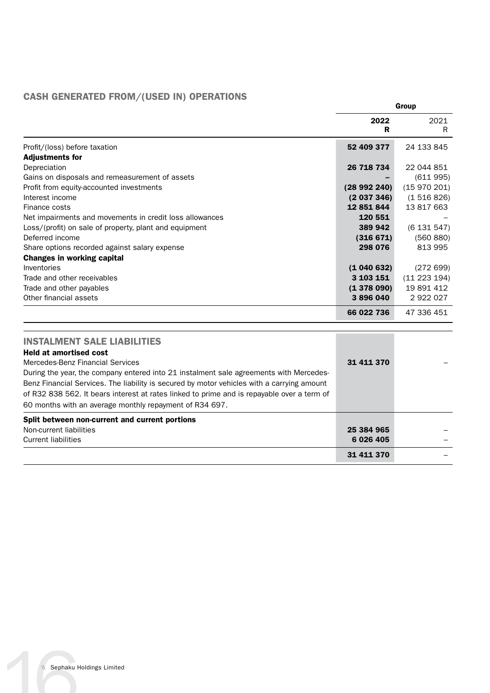### CASH GENERATED FROM/(USED IN) OPERATIONS

|                                                                                            | Group      |              |
|--------------------------------------------------------------------------------------------|------------|--------------|
|                                                                                            | 2022<br>R  | 2021<br>R.   |
| Profit/(loss) before taxation<br><b>Adjustments for</b>                                    | 52 409 377 | 24 133 845   |
| Depreciation                                                                               | 26 718 734 | 22 044 851   |
| Gains on disposals and remeasurement of assets                                             |            | (611995)     |
| Profit from equity-accounted investments                                                   | (28992240) | (15970201)   |
| Interest income                                                                            | (2037346)  | (1516826)    |
| Finance costs                                                                              | 12 851 844 | 13 817 663   |
| Net impairments and movements in credit loss allowances                                    | 120 551    |              |
| Loss/(profit) on sale of property, plant and equipment                                     | 389 942    | (6131547)    |
| Deferred income                                                                            | (316 671)  | (560 880)    |
| Share options recorded against salary expense                                              | 298 076    | 813 995      |
| <b>Changes in working capital</b>                                                          |            |              |
| Inventories                                                                                | (1040632)  | (272699)     |
| Trade and other receivables                                                                | 3 103 151  | (11 223 194) |
| Trade and other payables                                                                   | (1378090)  | 19 891 412   |
| Other financial assets                                                                     | 3896040    | 2 922 027    |
|                                                                                            | 66 022 736 | 47 336 451   |
| <b>INSTALMENT SALE LIABILITIES</b>                                                         |            |              |
| <b>Held at amortised cost</b>                                                              |            |              |
| Mercedes-Benz Financial Services                                                           | 31 411 370 |              |
| During the year, the company entered into 21 instalment sale agreements with Mercedes-     |            |              |
| Benz Financial Services. The liability is secured by motor vehicles with a carrying amount |            |              |
| of R32 838 562. It bears interest at rates linked to prime and is repayable over a term of |            |              |
| 60 months with an average monthly repayment of R34 697.                                    |            |              |
| Split between non-current and current portions                                             |            |              |
| Non-current liabilities                                                                    | 25 384 965 |              |
| <b>Current liabilities</b>                                                                 | 6 026 405  |              |
|                                                                                            | 31 411 370 |              |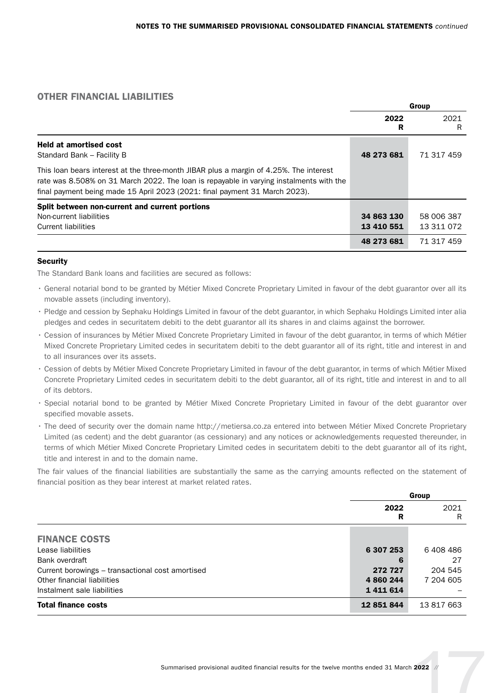### OTHER FINANCIAL LIABILITIES

|                                                                                                                                                                                                                                                                  | Group                    |                          |
|------------------------------------------------------------------------------------------------------------------------------------------------------------------------------------------------------------------------------------------------------------------|--------------------------|--------------------------|
|                                                                                                                                                                                                                                                                  | 2022<br>R                | 2021<br>R                |
| <b>Held at amortised cost</b><br>Standard Bank - Facility B                                                                                                                                                                                                      | 48 273 681               | 71 317 459               |
| This loan bears interest at the three-month JIBAR plus a margin of 4.25%. The interest<br>rate was 8.508% on 31 March 2022. The loan is repayable in varying instalments with the<br>final payment being made 15 April 2023 (2021: final payment 31 March 2023). |                          |                          |
| Split between non-current and current portions<br>Non-current liabilities<br><b>Current liabilities</b>                                                                                                                                                          | 34 863 130<br>13 410 551 | 58 006 387<br>13 311 072 |
|                                                                                                                                                                                                                                                                  | 48 273 681               | 71 317 459               |

### **Security**

The Standard Bank loans and facilities are secured as follows:

- General notarial bond to be granted by Métier Mixed Concrete Proprietary Limited in favour of the debt guarantor over all its movable assets (including inventory).
- Pledge and cession by Sephaku Holdings Limited in favour of the debt guarantor, in which Sephaku Holdings Limited inter alia pledges and cedes in securitatem debiti to the debt guarantor all its shares in and claims against the borrower.
- Cession of insurances by Métier Mixed Concrete Proprietary Limited in favour of the debt guarantor, in terms of which Métier Mixed Concrete Proprietary Limited cedes in securitatem debiti to the debt guarantor all of its right, title and interest in and to all insurances over its assets.
- Cession of debts by Métier Mixed Concrete Proprietary Limited in favour of the debt guarantor, in terms of which Métier Mixed Concrete Proprietary Limited cedes in securitatem debiti to the debt guarantor, all of its right, title and interest in and to all of its debtors.
- Special notarial bond to be granted by Métier Mixed Concrete Proprietary Limited in favour of the debt guarantor over specified movable assets.
- The deed of security over the domain name http://metiersa.co.za entered into between Métier Mixed Concrete Proprietary Limited (as cedent) and the debt guarantor (as cessionary) and any notices or acknowledgements requested thereunder, in terms of which Métier Mixed Concrete Proprietary Limited cedes in securitatem debiti to the debt guarantor all of its right, title and interest in and to the domain name.

The fair values of the financial liabilities are substantially the same as the carrying amounts reflected on the statement of financial position as they bear interest at market related rates.

|                                                  | Group      |            |
|--------------------------------------------------|------------|------------|
|                                                  | 2022<br>R  | 2021<br>R  |
| <b>FINANCE COSTS</b>                             |            |            |
| Lease liabilities                                | 6 307 253  | 6 408 486  |
| Bank overdraft                                   |            | 27         |
| Current borowings - transactional cost amortised | 272 727    | 204 545    |
| Other financial liabilities                      | 4 860 244  | 7 204 605  |
| Instalment sale liabilities                      | 1411614    |            |
| <b>Total finance costs</b>                       | 12 851 844 | 13 817 663 |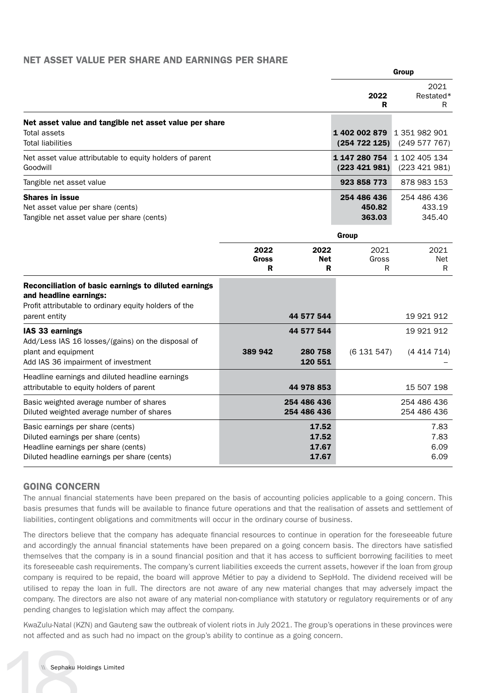### NET ASSET VALUE PER SHARE AND EARNINGS PER SHARE

|                                                                                                                                                              |                    |                                  | Group                           |                                 |
|--------------------------------------------------------------------------------------------------------------------------------------------------------------|--------------------|----------------------------------|---------------------------------|---------------------------------|
|                                                                                                                                                              |                    |                                  | 2022<br>R                       | 2021<br>Restated*<br>R          |
| Net asset value and tangible net asset value per share<br>Total assets<br><b>Total liabilities</b>                                                           |                    |                                  | 1402 002 879<br>(254 722 125)   | 1 351 982 901<br>(249577767)    |
| Net asset value attributable to equity holders of parent<br>Goodwill                                                                                         |                    |                                  | 1 147 280 754<br>(223 421 981)  | 1 102 405 134<br>(223 421 981)  |
| Tangible net asset value                                                                                                                                     |                    |                                  | 923 858 773                     | 878 983 153                     |
| <b>Shares in issue</b><br>Net asset value per share (cents)<br>Tangible net asset value per share (cents)                                                    |                    |                                  | 254 486 436<br>450.82<br>363.03 | 254 486 436<br>433.19<br>345.40 |
|                                                                                                                                                              |                    |                                  | Group                           |                                 |
|                                                                                                                                                              | 2022<br>Gross<br>R | 2022<br>Net<br>R                 | 2021<br>Gross<br>R              | 2021<br>Net<br>R                |
| Reconciliation of basic earnings to diluted earnings<br>and headline earnings:<br>Profit attributable to ordinary equity holders of the<br>parent entity     |                    | 44 577 544                       |                                 | 19 921 912                      |
| IAS 33 earnings<br>Add/Less IAS 16 losses/(gains) on the disposal of<br>plant and equipment<br>Add IAS 36 impairment of investment                           | 389 942            | 44 577 544<br>280 758<br>120 551 | (6131547)                       | 19 921 912<br>(4414714)         |
| Headline earnings and diluted headline earnings<br>attributable to equity holders of parent                                                                  |                    | 44 978 853                       |                                 | 15 507 198                      |
| Basic weighted average number of shares<br>Diluted weighted average number of shares                                                                         |                    | 254 486 436<br>254 486 436       |                                 | 254 486 436<br>254 486 436      |
| Basic earnings per share (cents)<br>Diluted earnings per share (cents)<br>Headline earnings per share (cents)<br>Diluted headline earnings per share (cents) |                    | 17.52<br>17.52<br>17.67<br>17.67 |                                 | 7.83<br>7.83<br>6.09<br>6.09    |

### GOING CONCERN

The annual financial statements have been prepared on the basis of accounting policies applicable to a going concern. This basis presumes that funds will be available to finance future operations and that the realisation of assets and settlement of liabilities, contingent obligations and commitments will occur in the ordinary course of business.

The directors believe that the company has adequate financial resources to continue in operation for the foreseeable future and accordingly the annual financial statements have been prepared on a going concern basis. The directors have satisfied themselves that the company is in a sound financial position and that it has access to sufficient borrowing facilities to meet its foreseeable cash requirements. The company's current liabilities exceeds the current assets, however if the loan from group company is required to be repaid, the board will approve Métier to pay a dividend to SepHold. The dividend received will be utilised to repay the loan in full. The directors are not aware of any new material changes that may adversely impact the company. The directors are also not aware of any material non-compliance with statutory or regulatory requirements or of any pending changes to legislation which may affect the company.

KwaZulu-Natal (KZN) and Gauteng saw the outbreak of violent riots in July 2021. The group's operations in these provinces were not affected and as such had no impact on the group's ability to continue as a going concern.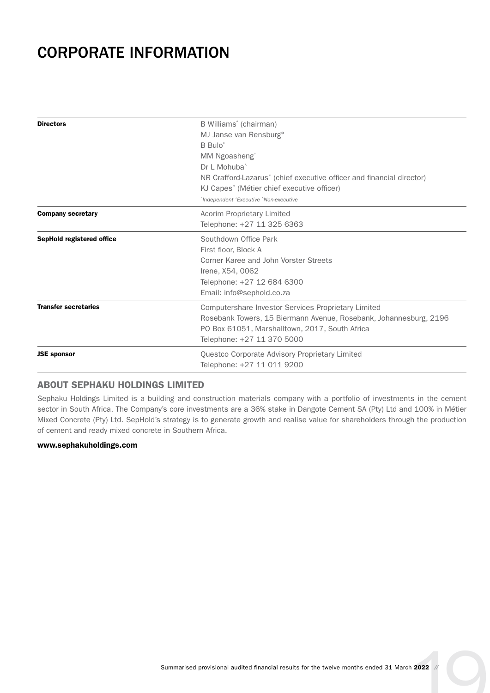### CORPORATE INFORMATION

| <b>Directors</b>            | B Williams° (chairman)<br>MJ Janse van Rensburg°<br>B Bulo <sup>®</sup><br>MM Ngoasheng <sup>®</sup><br>Dr L Mohuba <sup>^</sup><br>NR Crafford-Lazarus <sup>*</sup> (chief executive officer and financial director)<br>KJ Capes* (Métier chief executive officer)<br>'Independent 'Executive 'Non-executive |
|-----------------------------|---------------------------------------------------------------------------------------------------------------------------------------------------------------------------------------------------------------------------------------------------------------------------------------------------------------|
| <b>Company secretary</b>    | Acorim Proprietary Limited<br>Telephone: +27 11 325 6363                                                                                                                                                                                                                                                      |
| SepHold registered office   | Southdown Office Park<br>First floor, Block A<br>Corner Karee and John Vorster Streets<br>Irene, X54, 0062<br>Telephone: +27 12 684 6300<br>Email: info@sephold.co.za                                                                                                                                         |
| <b>Transfer secretaries</b> | Computershare Investor Services Proprietary Limited<br>Rosebank Towers, 15 Biermann Avenue, Rosebank, Johannesburg, 2196<br>PO Box 61051, Marshalltown, 2017, South Africa<br>Telephone: +27 11 370 5000                                                                                                      |
| <b>JSE</b> sponsor          | Questco Corporate Advisory Proprietary Limited<br>Telephone: +27 11 011 9200                                                                                                                                                                                                                                  |

### ABOUT SEPHAKU HOLDINGS LIMITED

Sephaku Holdings Limited is a building and construction materials company with a portfolio of investments in the cement sector in South Africa. The Company's core investments are a 36% stake in Dangote Cement SA (Pty) Ltd and 100% in Métier Mixed Concrete (Pty) Ltd. SepHold's strategy is to generate growth and realise value for shareholders through the production of cement and ready mixed concrete in Southern Africa.

### [www.sephakuholdings.com](http://www.sephakuholdings.com)